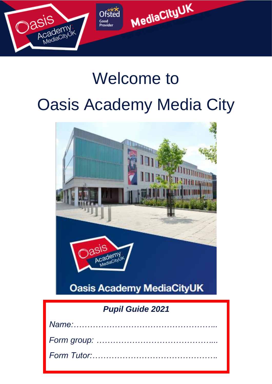

## Welcome to

# Oasis Academy Media City



## *Pupil Guide 2021*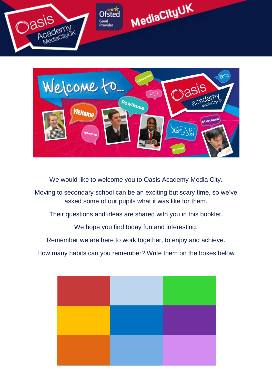



We would like to welcome you to Oasis Academy Media City.

Moving to secondary school can be an exciting but scary time, so we've asked some of our pupils what it was like for them.

Their questions and ideas are shared with you in this booklet.

We hope you find today fun and interesting.

Remember we are here to work together, to enjoy and achieve.

How many habits can you remember? Write them on the boxes below

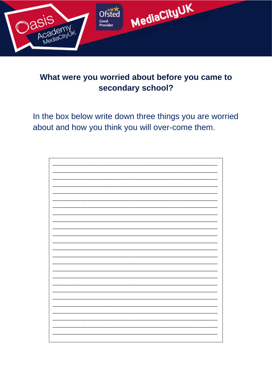

### What were you worried about before you came to secondary school?

In the box below write down three things you are worried about and how you think you will over-come them.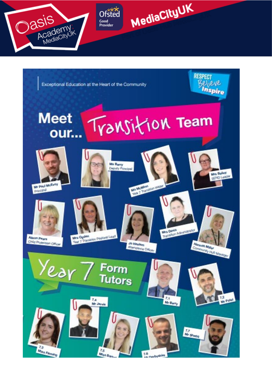



#### **Meet** Transition Team our...



Mr Paul McEvoy Principal



 $7.2$ 

M<sub>iss Films</sub>

Child Protection Office

Year



 $T_A$ 

Mr Jervis

 $\frac{7.5}{M_{50}R_{20}}$ 

Ms McMinn<br>Year 7 Transform reader

Form

**Tutors** 

Ma Barry<br>Deputy Princip

**Jo Haslam** 

### Afternational Officer

Mrs Davis<br>Transfort Administrator

 $^{7.1}$ 

Mr Barry

Hannon Miller Comming Hub Manage

**RESPECT** Believe

Inspire

Mrs Balley **SEND Leader** 





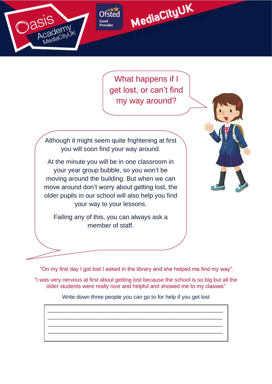





What happens if I get lost, or can't find my way around?

Although it might seem quite frightening at first you will soon find your way around.

At the minute you will be in one classroom in your year group bubble, so you won't be moving around the building. But when we can move around don't worry about getting lost, the older pupils in our school will also help you find your way to your lessons.

Failing any of this, you can always ask a member of staff.

"On my first day I got lost I asked in the library and she helped me find my way".

"I was very nervous at first about getting lost because the school is so big but all the older students were really nice and helpful and showed me to my classes"

Write down three people you can go to for help if you get lost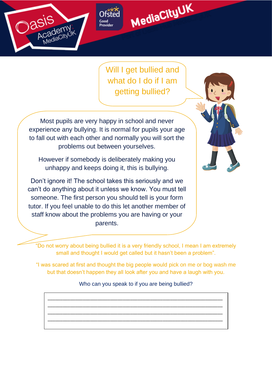

Good Provie



Will I get bullied and what do I do if I am getting bullied?

Most pupils are very happy in school and never experience any bullying. It is normal for pupils your age to fall out with each other and normally you will sort the problems out between yourselves.

However if somebody is deliberately making you unhappy and keeps doing it, this is bullying.

Don't ignore it! The school takes this seriously and we can't do anything about it unless we know. You must tell someone. The first person you should tell is your form tutor. If you feel unable to do this let another member of staff know about the problems you are having or your parents.



"Do not worry about being bullied it is a very friendly school, I mean I am extremely small and thought I would get called but it hasn't been a problem".

"I was scared at first and thought the big people would pick on me or bog wash me but that doesn't happen they all look after you and have a laugh with you.

Who can you speak to if you are being bullied?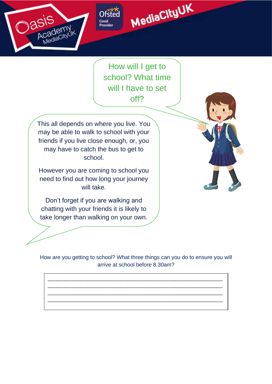



How will I get to school? What time will I have to set off?

This all depends on where you live. You may be able to walk to school with your friends if you live close enough, or, you may have to catch the bus to get to school.

Good

Provie

However you are coming to school you need to find out how long your journey will take.

Don't forget if you are walking and chatting with your friends it is likely to take longer than walking on your own.



How are you getting to school? What three things can you do to ensure you will arrive at school before 8.30am?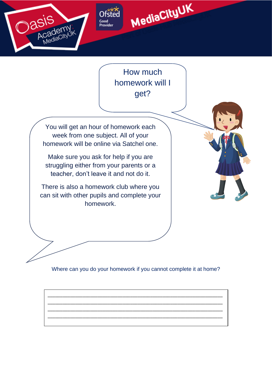





You will get an hour of homework each week from one subject. All of your homework will be online via Satchel one.

Make sure you ask for help if you are struggling either from your parents or a teacher, don't leave it and not do it.

There is also a homework club where you can sit with other pupils and complete your homework.



Where can you do your homework if you cannot complete it at home?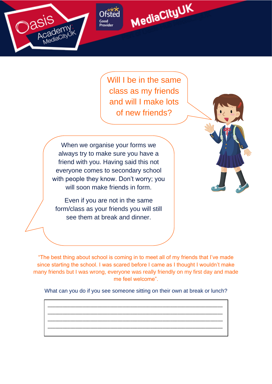

Will I be in the same class as my friends and will I make lots of new friends?

MediaCityUK

When we organise your forms we always try to make sure you have a friend with you. Having said this not everyone comes to secondary school with people they know. Don't worry; you will soon make friends in form.

Good

Provie

Even if you are not in the same form/class as your friends you will still see them at break and dinner.



"The best thing about school is coming in to meet all of my friends that I've made since starting the school. I was scared before I came as I thought I wouldn't make many friends but I was wrong, everyone was really friendly on my first day and made me feel welcome".

What can you do if you see someone sitting on their own at break or lunch?

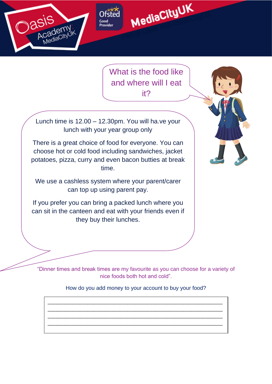

What is the food like and where will I eat it?

MediaCityUK

Lunch time is 12.00 – 12.30pm. You will ha.ve your lunch with your year group only

There is a great choice of food for everyone. You can choose hot or cold food including sandwiches, jacket potatoes, pizza, curry and even bacon butties at break time.

We use a cashless system where your parent/carer can top up using parent pay.

If you prefer you can bring a packed lunch where you can sit in the canteen and eat with your friends even if they buy their lunches.

"Dinner times and break times are my favourite as you can choose for a variety of nice foods both hot and cold".

#### How do you add money to your account to buy your food?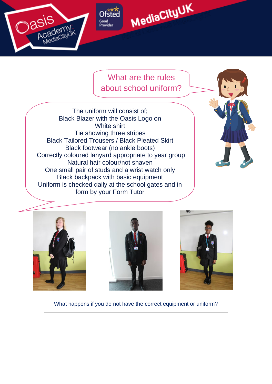

#### What are the rules about school uniform?

The uniform will consist of; Black Blazer with the Oasis Logo on White shirt Tie showing three stripes Black Tailored Trousers / Black Pleated Skirt Black footwear (no ankle boots) Correctly coloured lanyard appropriate to year group Natural hair colour/not shaven One small pair of studs and a wrist watch only Black backpack with basic equipment Uniform is checked daily at the school gates and in form by your Form Tutor









What happens if you do not have the correct equipment or uniform?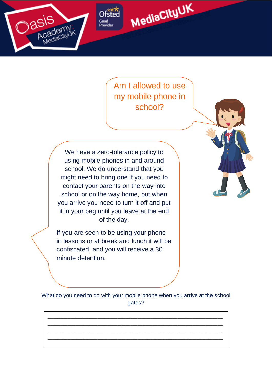





Am I allowed to use my mobile phone in school?



We have a zero-tolerance policy to using mobile phones in and around school. We do understand that you might need to bring one if you need to contact your parents on the way into school or on the way home, but when you arrive you need to turn it off and put it in your bag until you leave at the end of the day.

If you are seen to be using your phone in lessons or at break and lunch it will be confiscated, and you will receive a 30 minute detention.

What do you need to do with your mobile phone when you arrive at the school gates?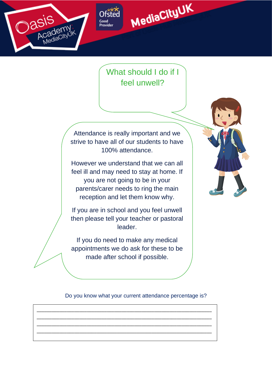



Good

Provie

### What should I do if I feel unwell?

Attendance is really important and we strive to have all of our students to have 100% attendance.

However we understand that we can all feel ill and may need to stay at home. If you are not going to be in your parents/carer needs to ring the main reception and let them know why.

If you are in school and you feel unwell then please tell your teacher or pastoral leader.

If you do need to make any medical appointments we do ask for these to be made after school if possible.

Do you know what your current attendance percentage is?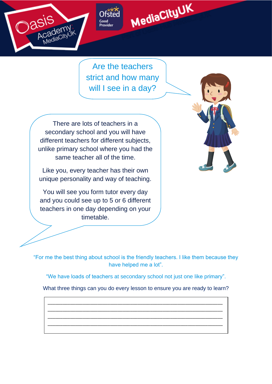



Good

Provie

MediaCityUK

There are lots of teachers in a secondary school and you will have different teachers for different subjects, unlike primary school where you had the same teacher all of the time.

Like you, every teacher has their own unique personality and way of teaching.

You will see you form tutor every day and you could see up to 5 or 6 different teachers in one day depending on your timetable.



"For me the best thing about school is the friendly teachers. I like them because they have helped me a lot".

"We have loads of teachers at secondary school not just one like primary".

What three things can you do every lesson to ensure you are ready to learn?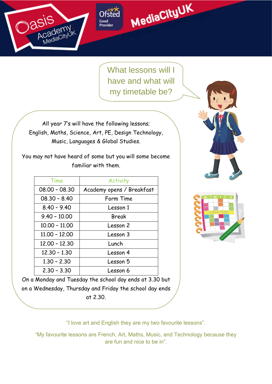

Good Provid



What lessons will I have and what will my timetable be?

like?

All year 7's will have the following lessons; English, Maths, Science, Art, PE, Design Technology, Music, Languages & Global Studies.

You may not have heard of some but you will some become familiar with them.

| Time            | Activity                  |  |
|-----------------|---------------------------|--|
| $08.00 - 08.30$ | Academy opens / Breakfast |  |
| $08.30 - 8.40$  | Form Time                 |  |
| $8.40 - 9.40$   | Lesson 1                  |  |
| $9.40 - 10.00$  | Break                     |  |
| $10.00 - 11.00$ | Lesson 2                  |  |
| $11.00 - 12.00$ | Lesson 3                  |  |
| $12.00 - 12.30$ | Lunch                     |  |
| $12.30 - 1.30$  | Lesson 4                  |  |
| $1.30 - 2.30$   | Lesson 5                  |  |
| $2.30 - 3.30$   | Lesson 6                  |  |





On a Monday and Tuesday the school day ends at 3.30 but on a Wednesday, Thursday and Friday the school day ends at 2.30.

"I love art and English they are my two favourite lessons".

"My favourite lessons are French, Art, Maths, Music, and Technology because they are fun and nice to be in".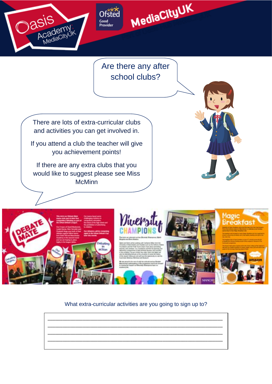



Are there any after school clubs?

There are lots of extra-curricular clubs and activities you can get involved in.

Good

Provide

If you attend a club the teacher will give you achievement points!

If there are any extra clubs that you would like to suggest please see Miss **McMinn** 









#### What extra-curricular activities are you going to sign up to?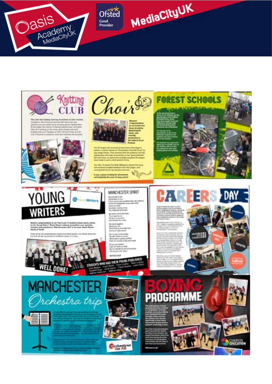